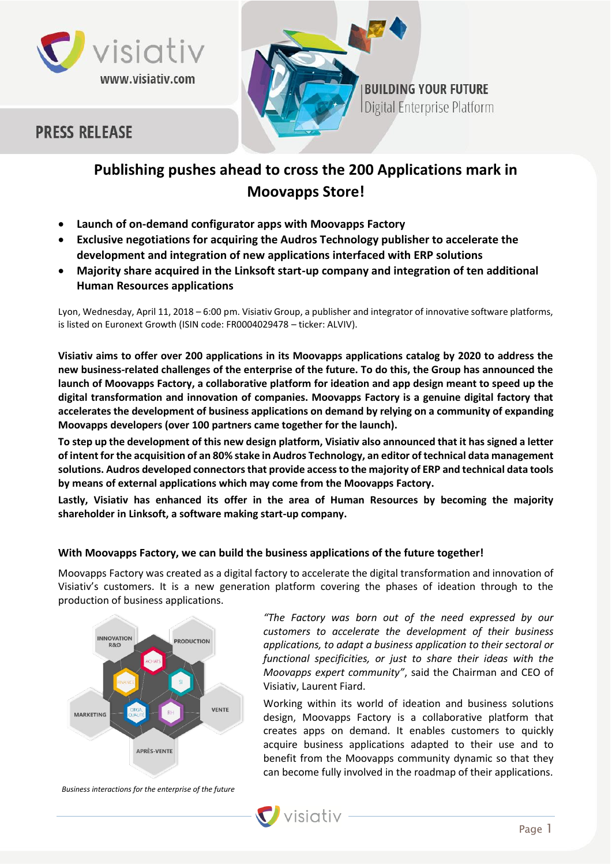



# **PRESS RELEASE**

# **Publishing pushes ahead to cross the 200 Applications mark in Moovapps Store!**

- **Launch of on-demand configurator apps with Moovapps Factory**
- **Exclusive negotiations for acquiring the Audros Technology publisher to accelerate the development and integration of new applications interfaced with ERP solutions**
- **Majority share acquired in the Linksoft start-up company and integration of ten additional Human Resources applications**

Lyon, Wednesday, April 11, 2018 – 6:00 pm. Visiativ Group, a publisher and integrator of innovative software platforms, is listed on Euronext Growth (ISIN code: FR0004029478 – ticker: ALVIV).

**Visiativ aims to offer over 200 applications in its Moovapps applications catalog by 2020 to address the new business-related challenges of the enterprise of the future. To do this, the Group has announced the launch of Moovapps Factory, a collaborative platform for ideation and app design meant to speed up the digital transformation and innovation of companies. Moovapps Factory is a genuine digital factory that accelerates the development of business applications on demand by relying on a community of expanding Moovapps developers (over 100 partners came together for the launch).** 

**To step up the development of this new design platform, Visiativ also announced that it has signed a letter of intent for the acquisition of an 80% stake in Audros Technology, an editor of technical data management solutions. Audros developed connectors that provide access to the majority of ERP and technical data tools by means of external applications which may come from the Moovapps Factory.**

**Lastly, Visiativ has enhanced its offer in the area of Human Resources by becoming the majority shareholder in Linksoft, a software making start-up company.**

# **With Moovapps Factory, we can build the business applications of the future together!**

Moovapps Factory was created as a digital factory to accelerate the digital transformation and innovation of Visiativ's customers. It is a new generation platform covering the phases of ideation through to the production of business applications.



*"The Factory was born out of the need expressed by our customers to accelerate the development of their business applications, to adapt a business application to their sectoral or functional specificities, or just to share their ideas with the Moovapps expert community"*, said the Chairman and CEO of Visiativ, Laurent Fiard.

Working within its world of ideation and business solutions design, Moovapps Factory is a collaborative platform that creates apps on demand. It enables customers to quickly acquire business applications adapted to their use and to benefit from the Moovapps community dynamic so that they can become fully involved in the roadmap of their applications.

*Business interactions for the enterprise of the future*

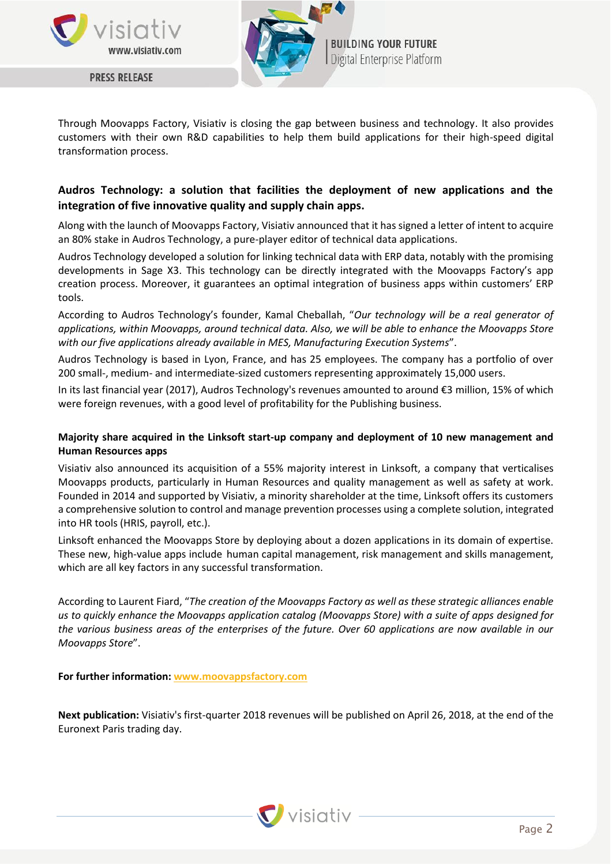

**PRESS RELEASE** 



**BUILDING YOUR FUTURE** Digital Enterprise Platform

Through Moovapps Factory, Visiativ is closing the gap between business and technology. It also provides customers with their own R&D capabilities to help them build applications for their high-speed digital transformation process.

# **Audros Technology: a solution that facilities the deployment of new applications and the integration of five innovative quality and supply chain apps.**

Along with the launch of Moovapps Factory, Visiativ announced that it has signed a letter of intent to acquire an 80% stake in Audros Technology, a pure-player editor of technical data applications.

Audros Technology developed a solution for linking technical data with ERP data, notably with the promising developments in Sage X3. This technology can be directly integrated with the Moovapps Factory's app creation process. Moreover, it guarantees an optimal integration of business apps within customers' ERP tools.

According to Audros Technology's founder, Kamal Cheballah, "*Our technology will be a real generator of applications, within Moovapps, around technical data. Also, we will be able to enhance the Moovapps Store with our five applications already available in MES, Manufacturing Execution Systems*".

Audros Technology is based in Lyon, France, and has 25 employees. The company has a portfolio of over 200 small-, medium- and intermediate-sized customers representing approximately 15,000 users.

In its last financial year (2017), Audros Technology's revenues amounted to around €3 million, 15% of which were foreign revenues, with a good level of profitability for the Publishing business.

## **Majority share acquired in the Linksoft start-up company and deployment of 10 new management and Human Resources apps**

Visiativ also announced its acquisition of a 55% majority interest in Linksoft, a company that verticalises Moovapps products, particularly in Human Resources and quality management as well as safety at work. Founded in 2014 and supported by Visiativ, a minority shareholder at the time, Linksoft offers its customers a comprehensive solution to control and manage prevention processes using a complete solution, integrated into HR tools (HRIS, payroll, etc.).

Linksoft enhanced the Moovapps Store by deploying about a dozen applications in its domain of expertise. These new, high-value apps include human capital management, risk management and skills management, which are all key factors in any successful transformation.

According to Laurent Fiard, "*The creation of the Moovapps Factory as well as these strategic alliances enable us to quickly enhance the Moovapps application catalog (Moovapps Store) with a suite of apps designed for the various business areas of the enterprises of the future. Over 60 applications are now available in our Moovapps Store*".

**For further information: [www.moovappsfactory.com](file://///files/Documents/VISIATIV/Marketing%20Service/Communication/Presse/CP/2018/20180412%20Factory%20-%20Zeta/www.moovappsfactory.com)**

**Next publication:** Visiativ's first-quarter 2018 revenues will be published on April 26, 2018, at the end of the Euronext Paris trading day.